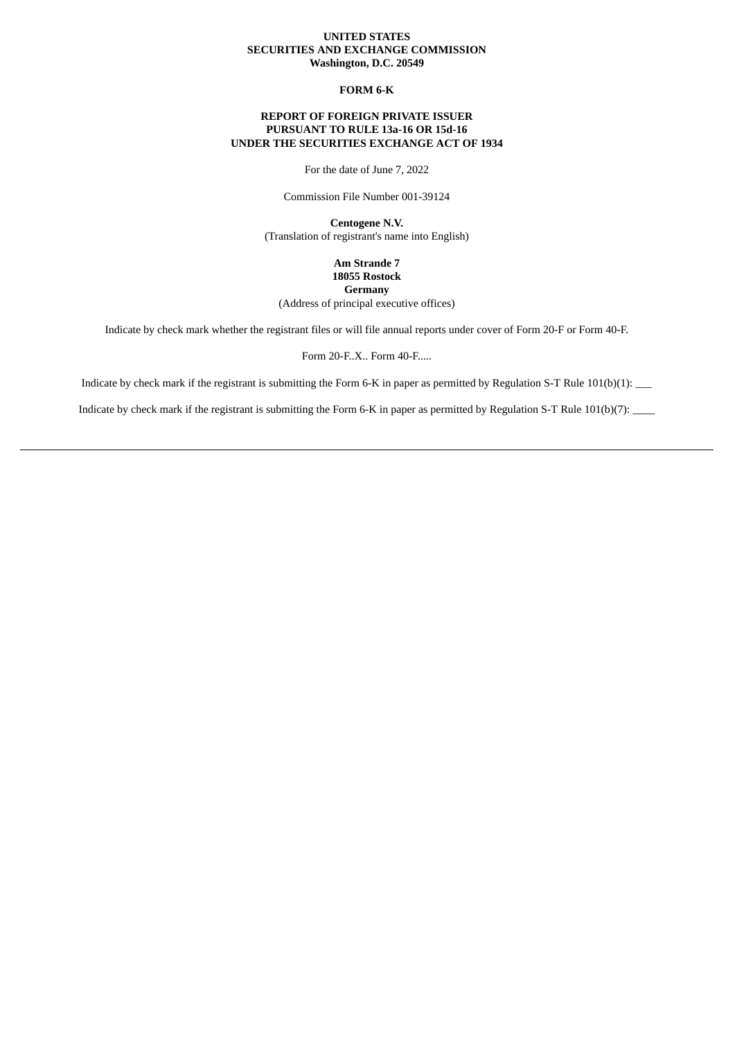### **UNITED STATES SECURITIES AND EXCHANGE COMMISSION Washington, D.C. 20549**

# **FORM 6-K**

# **REPORT OF FOREIGN PRIVATE ISSUER PURSUANT TO RULE 13a-16 OR 15d-16 UNDER THE SECURITIES EXCHANGE ACT OF 1934**

For the date of June 7, 2022

Commission File Number 001-39124

**Centogene N.V.** (Translation of registrant's name into English)

> **Am Strande 7 18055 Rostock Germany**

(Address of principal executive offices)

Indicate by check mark whether the registrant files or will file annual reports under cover of Form 20-F or Form 40-F.

Form 20-F..X.. Form 40-F.....

Indicate by check mark if the registrant is submitting the Form 6-K in paper as permitted by Regulation S-T Rule 101(b)(1): \_\_\_

Indicate by check mark if the registrant is submitting the Form 6-K in paper as permitted by Regulation S-T Rule 101(b)(7):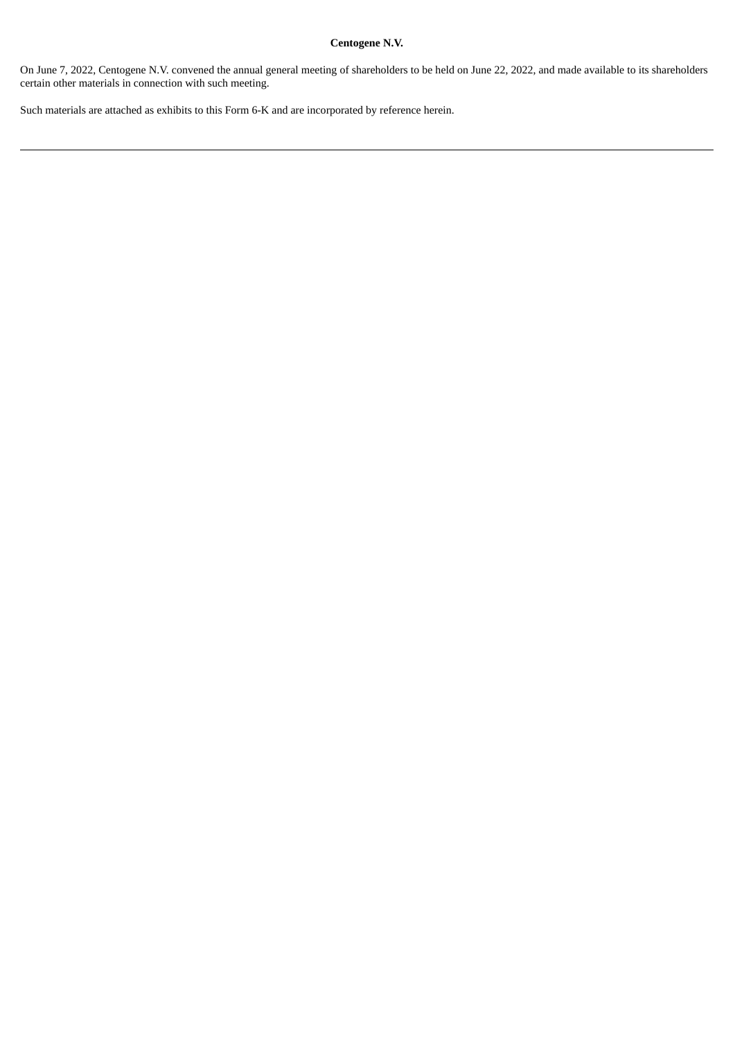# **Centogene N.V.**

On June 7, 2022, Centogene N.V. convened the annual general meeting of shareholders to be held on June 22, 2022, and made available to its shareholders certain other materials in connection with such meeting.

Such materials are attached as exhibits to this Form 6-K and are incorporated by reference herein.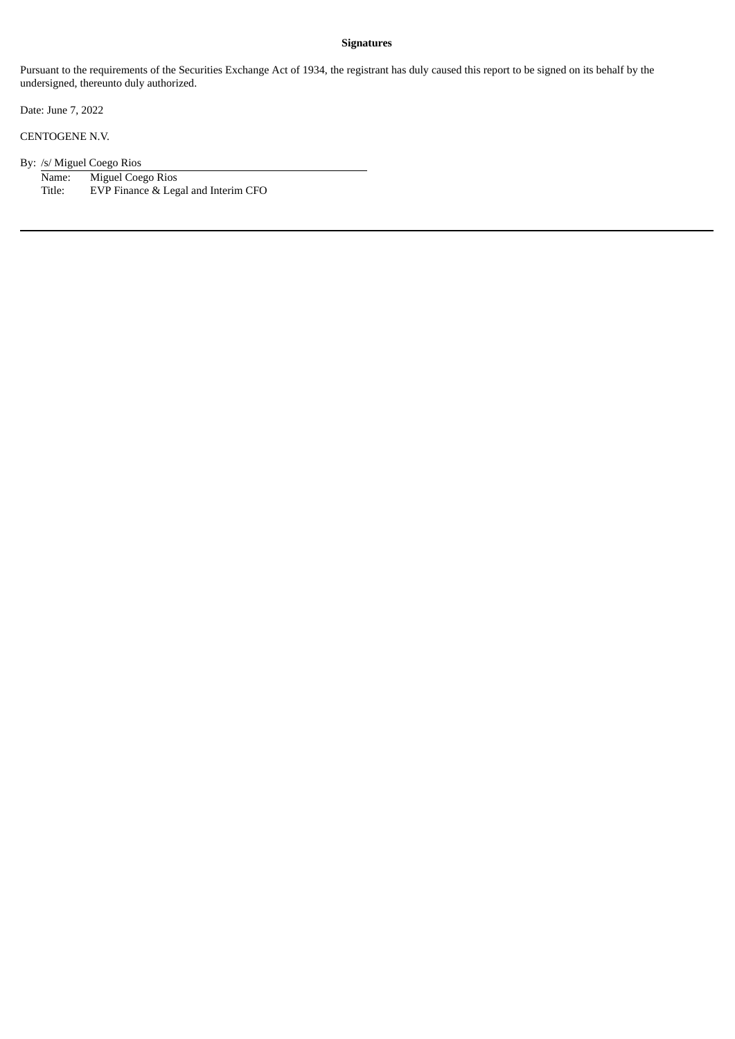### **Signatures**

Pursuant to the requirements of the Securities Exchange Act of 1934, the registrant has duly caused this report to be signed on its behalf by the undersigned, thereunto duly authorized.

Date: June 7, 2022

CENTOGENE N.V.

By: /s/ Miguel Coego Rios

Name: Miguel Coego Rios<br>Title: EVP Finance & Leg EVP Finance & Legal and Interim CFO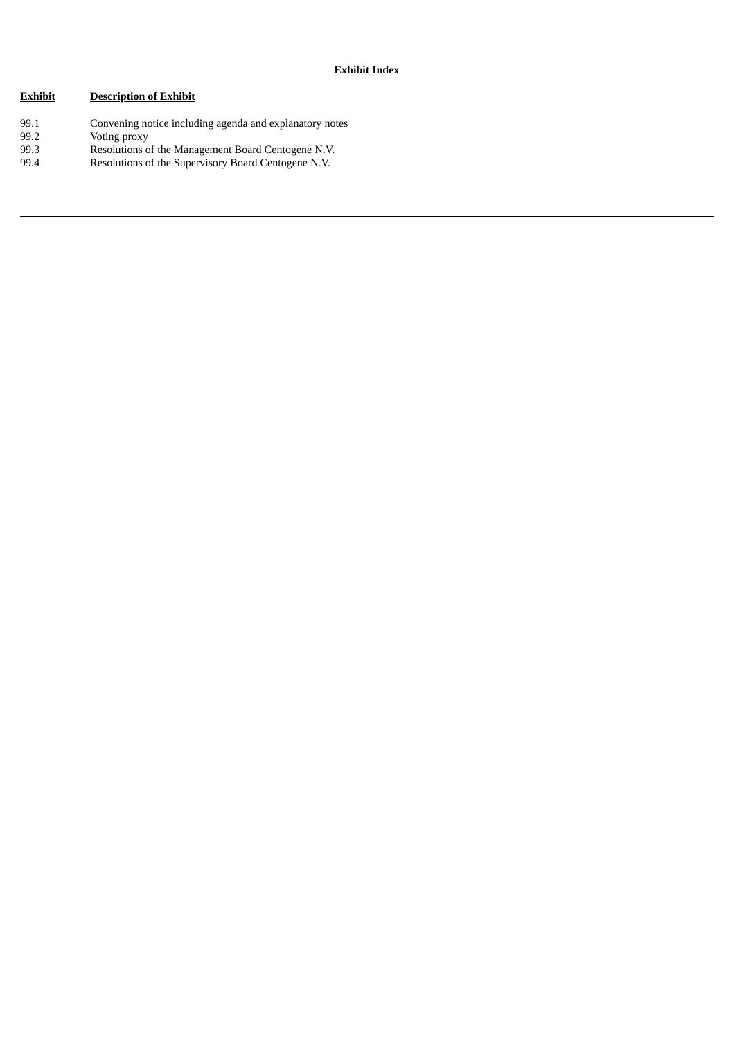# **Exhibit Description of Exhibit**

99.1 Convening notice including agenda and explanatory notes 99.2 Voting proxy<br>99.3 Resolutions o 99.3 Resolutions of the Management Board Centogene N.V. 99.4 Resolutions of the Supervisory Board Centogene N.V.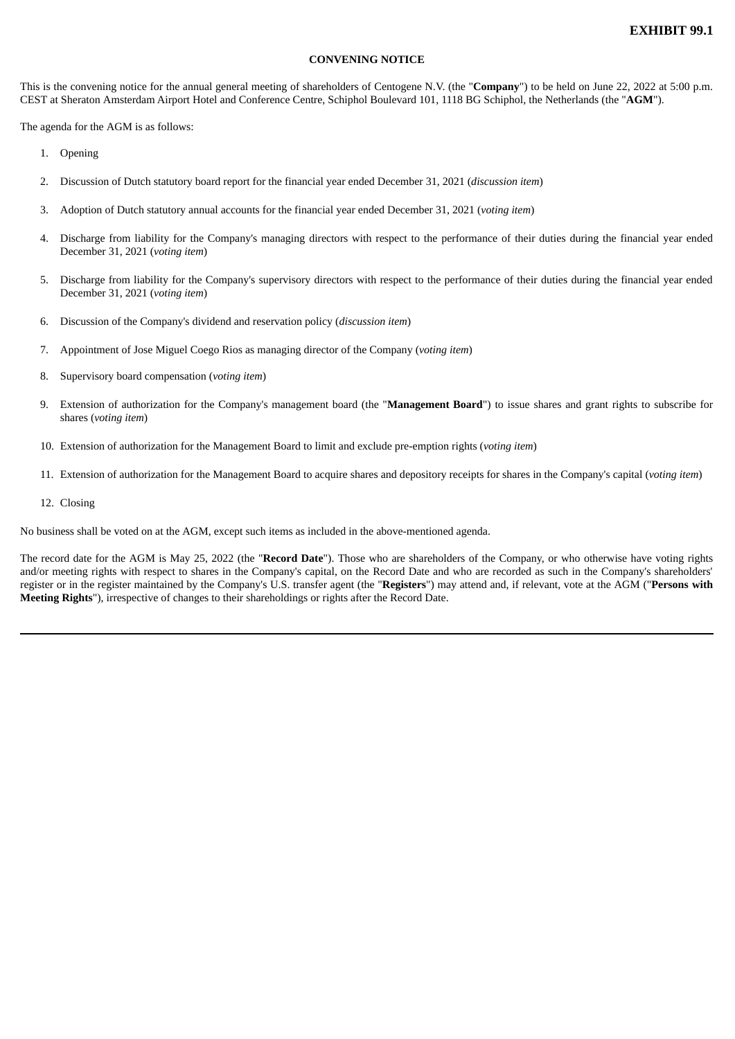# **CONVENING NOTICE**

This is the convening notice for the annual general meeting of shareholders of Centogene N.V. (the "**Company**") to be held on June 22, 2022 at 5:00 p.m. CEST at Sheraton Amsterdam Airport Hotel and Conference Centre, Schiphol Boulevard 101, 1118 BG Schiphol, the Netherlands (the "**AGM**").

The agenda for the AGM is as follows:

- 1. Opening
- 2. Discussion of Dutch statutory board report for the financial year ended December 31, 2021 (*discussion item*)
- 3. Adoption of Dutch statutory annual accounts for the financial year ended December 31, 2021 (*voting item*)
- 4. Discharge from liability for the Company's managing directors with respect to the performance of their duties during the financial year ended December 31, 2021 (*voting item*)
- 5. Discharge from liability for the Company's supervisory directors with respect to the performance of their duties during the financial year ended December 31, 2021 (*voting item*)
- 6. Discussion of the Company's dividend and reservation policy (*discussion item*)
- 7. Appointment of Jose Miguel Coego Rios as managing director of the Company (*voting item*)
- 8. Supervisory board compensation (*voting item*)
- 9. Extension of authorization for the Company's management board (the "**Management Board**") to issue shares and grant rights to subscribe for shares (*voting item*)
- 10. Extension of authorization for the Management Board to limit and exclude pre-emption rights (*voting item*)
- 11. Extension of authorization for the Management Board to acquire shares and depository receipts for shares in the Company's capital (*voting item*)
- 12. Closing

No business shall be voted on at the AGM, except such items as included in the above-mentioned agenda.

The record date for the AGM is May 25, 2022 (the "**Record Date**"). Those who are shareholders of the Company, or who otherwise have voting rights and/or meeting rights with respect to shares in the Company's capital, on the Record Date and who are recorded as such in the Company's shareholders' register or in the register maintained by the Company's U.S. transfer agent (the "**Registers**") may attend and, if relevant, vote at the AGM ("**Persons with Meeting Rights**"), irrespective of changes to their shareholdings or rights after the Record Date.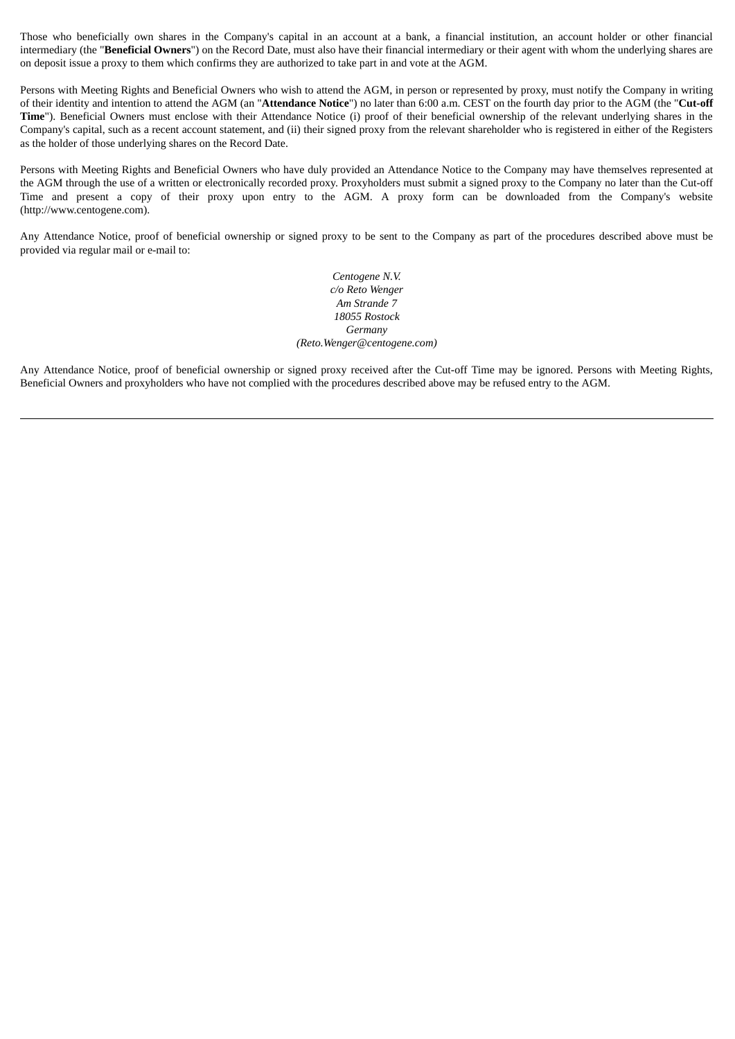Those who beneficially own shares in the Company's capital in an account at a bank, a financial institution, an account holder or other financial intermediary (the "**Beneficial Owners**") on the Record Date, must also have their financial intermediary or their agent with whom the underlying shares are on deposit issue a proxy to them which confirms they are authorized to take part in and vote at the AGM.

Persons with Meeting Rights and Beneficial Owners who wish to attend the AGM, in person or represented by proxy, must notify the Company in writing of their identity and intention to attend the AGM (an "**Attendance Notice**") no later than 6:00 a.m. CEST on the fourth day prior to the AGM (the "**Cut-off** Time"). Beneficial Owners must enclose with their Attendance Notice (i) proof of their beneficial ownership of the relevant underlying shares in the Company's capital, such as a recent account statement, and (ii) their signed proxy from the relevant shareholder who is registered in either of the Registers as the holder of those underlying shares on the Record Date.

Persons with Meeting Rights and Beneficial Owners who have duly provided an Attendance Notice to the Company may have themselves represented at the AGM through the use of a written or electronically recorded proxy. Proxyholders must submit a signed proxy to the Company no later than the Cut-off Time and present a copy of their proxy upon entry to the AGM. A proxy form can be downloaded from the Company's website (http://www.centogene.com).

Any Attendance Notice, proof of beneficial ownership or signed proxy to be sent to the Company as part of the procedures described above must be provided via regular mail or e-mail to:

> *Centogene N.V. c/o Reto Wenger Am Strande 7 18055 Rostock Germany (Reto.Wenger@centogene.com)*

Any Attendance Notice, proof of beneficial ownership or signed proxy received after the Cut-off Time may be ignored. Persons with Meeting Rights, Beneficial Owners and proxyholders who have not complied with the procedures described above may be refused entry to the AGM.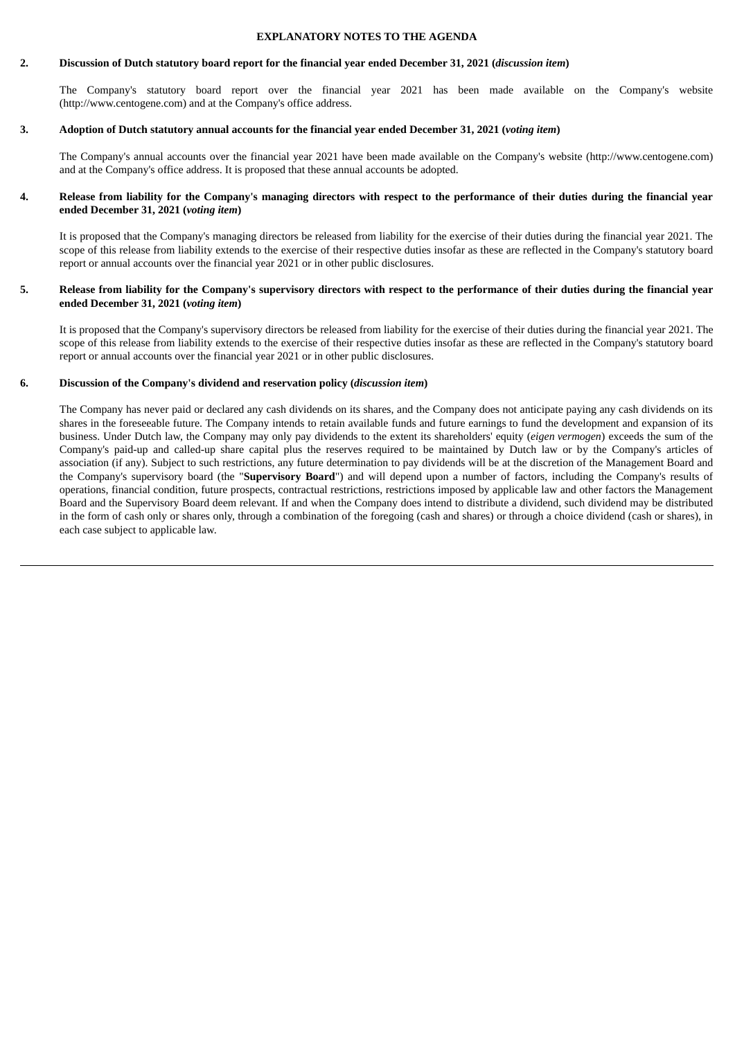#### **EXPLANATORY NOTES TO THE AGENDA**

### 2. Discussion of Dutch statutory board report for the financial year ended December 31, 2021 (discussion item)

The Company's statutory board report over the financial year 2021 has been made available on the Company's website (http://www.centogene.com) and at the Company's office address.

# 3. Adoption of Dutch statutory annual accounts for the financial year ended December 31, 2021 (voting item)

The Company's annual accounts over the financial year 2021 have been made available on the Company's website (http://www.centogene.com) and at the Company's office address. It is proposed that these annual accounts be adopted.

### 4. Release from liability for the Company's managing directors with respect to the performance of their duties during the financial year **ended December 31, 2021 (***voting item***)**

It is proposed that the Company's managing directors be released from liability for the exercise of their duties during the financial year 2021. The scope of this release from liability extends to the exercise of their respective duties insofar as these are reflected in the Company's statutory board report or annual accounts over the financial year 2021 or in other public disclosures.

### 5. Release from liability for the Company's supervisory directors with respect to the performance of their duties during the financial year **ended December 31, 2021 (***voting item***)**

It is proposed that the Company's supervisory directors be released from liability for the exercise of their duties during the financial year 2021. The scope of this release from liability extends to the exercise of their respective duties insofar as these are reflected in the Company's statutory board report or annual accounts over the financial year 2021 or in other public disclosures.

### **6. Discussion of the Company's dividend and reservation policy (***discussion item***)**

The Company has never paid or declared any cash dividends on its shares, and the Company does not anticipate paying any cash dividends on its shares in the foreseeable future. The Company intends to retain available funds and future earnings to fund the development and expansion of its business. Under Dutch law, the Company may only pay dividends to the extent its shareholders' equity (*eigen vermogen*) exceeds the sum of the Company's paid-up and called-up share capital plus the reserves required to be maintained by Dutch law or by the Company's articles of association (if any). Subject to such restrictions, any future determination to pay dividends will be at the discretion of the Management Board and the Company's supervisory board (the "**Supervisory Board**") and will depend upon a number of factors, including the Company's results of operations, financial condition, future prospects, contractual restrictions, restrictions imposed by applicable law and other factors the Management Board and the Supervisory Board deem relevant. If and when the Company does intend to distribute a dividend, such dividend may be distributed in the form of cash only or shares only, through a combination of the foregoing (cash and shares) or through a choice dividend (cash or shares), in each case subject to applicable law.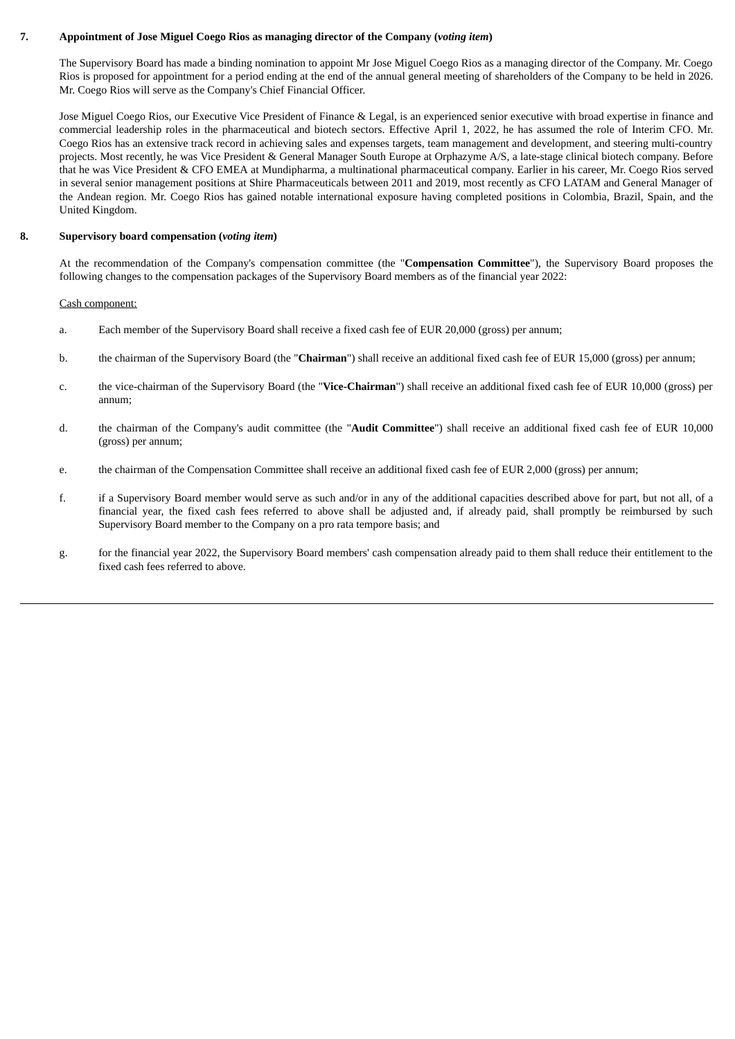# **7. Appointment of Jose Miguel Coego Rios as managing director of the Company (***voting item***)**

The Supervisory Board has made a binding nomination to appoint Mr Jose Miguel Coego Rios as a managing director of the Company. Mr. Coego Rios is proposed for appointment for a period ending at the end of the annual general meeting of shareholders of the Company to be held in 2026. Mr. Coego Rios will serve as the Company's Chief Financial Officer.

Jose Miguel Coego Rios, our Executive Vice President of Finance & Legal, is an experienced senior executive with broad expertise in finance and commercial leadership roles in the pharmaceutical and biotech sectors. Effective April 1, 2022, he has assumed the role of Interim CFO. Mr. Coego Rios has an extensive track record in achieving sales and expenses targets, team management and development, and steering multi-country projects. Most recently, he was Vice President & General Manager South Europe at Orphazyme A/S, a late-stage clinical biotech company. Before that he was Vice President & CFO EMEA at Mundipharma, a multinational pharmaceutical company. Earlier in his career, Mr. Coego Rios served in several senior management positions at Shire Pharmaceuticals between 2011 and 2019, most recently as CFO LATAM and General Manager of the Andean region. Mr. Coego Rios has gained notable international exposure having completed positions in Colombia, Brazil, Spain, and the United Kingdom.

### **8. Supervisory board compensation (***voting item***)**

At the recommendation of the Company's compensation committee (the "**Compensation Committee**"), the Supervisory Board proposes the following changes to the compensation packages of the Supervisory Board members as of the financial year 2022:

### Cash component:

- a. Each member of the Supervisory Board shall receive a fixed cash fee of EUR 20,000 (gross) per annum;
- b. the chairman of the Supervisory Board (the "**Chairman**") shall receive an additional fixed cash fee of EUR 15,000 (gross) per annum;
- c. the vice-chairman of the Supervisory Board (the "**Vice-Chairman**") shall receive an additional fixed cash fee of EUR 10,000 (gross) per annum;
- d. the chairman of the Company's audit committee (the "**Audit Committee**") shall receive an additional fixed cash fee of EUR 10,000 (gross) per annum;
- e. the chairman of the Compensation Committee shall receive an additional fixed cash fee of EUR 2,000 (gross) per annum;
- f. if a Supervisory Board member would serve as such and/or in any of the additional capacities described above for part, but not all, of a financial year, the fixed cash fees referred to above shall be adjusted and, if already paid, shall promptly be reimbursed by such Supervisory Board member to the Company on a pro rata tempore basis; and
- g. for the financial year 2022, the Supervisory Board members' cash compensation already paid to them shall reduce their entitlement to the fixed cash fees referred to above.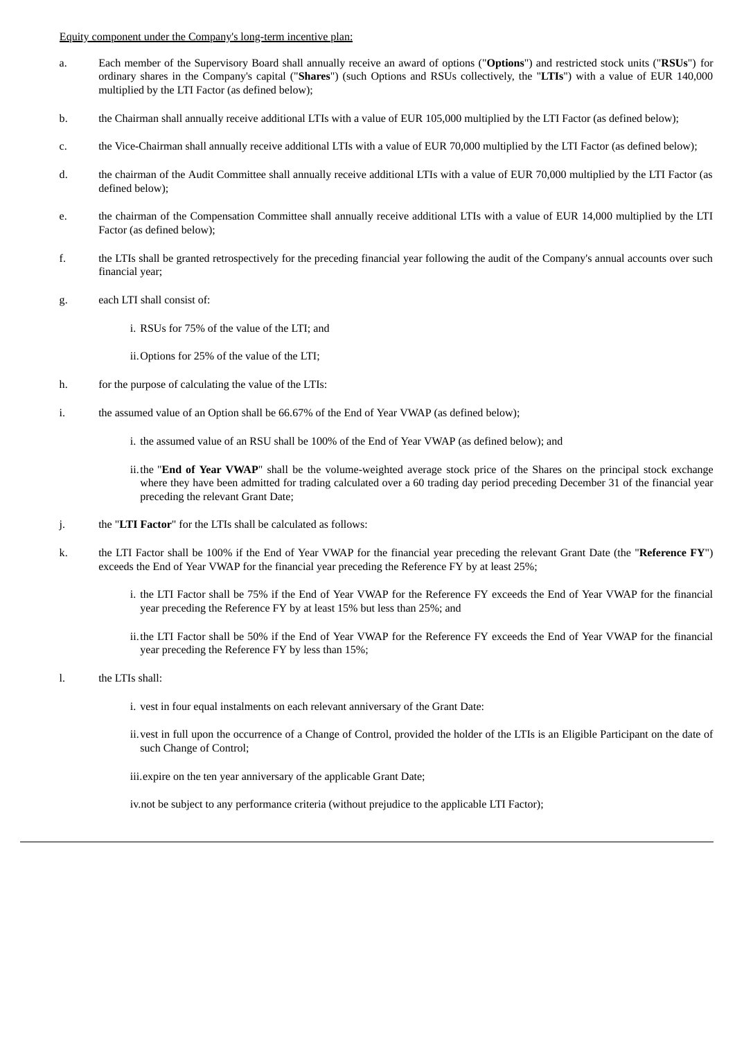Equity component under the Company's long-term incentive plan:

- a. Each member of the Supervisory Board shall annually receive an award of options ("**Options**") and restricted stock units ("**RSUs**") for ordinary shares in the Company's capital ("**Shares**") (such Options and RSUs collectively, the "**LTIs**") with a value of EUR 140,000 multiplied by the LTI Factor (as defined below);
- b. the Chairman shall annually receive additional LTIs with a value of EUR 105,000 multiplied by the LTI Factor (as defined below);
- c. the Vice-Chairman shall annually receive additional LTIs with a value of EUR 70,000 multiplied by the LTI Factor (as defined below);
- d. the chairman of the Audit Committee shall annually receive additional LTIs with a value of EUR 70,000 multiplied by the LTI Factor (as defined below);
- e. the chairman of the Compensation Committee shall annually receive additional LTIs with a value of EUR 14,000 multiplied by the LTI Factor (as defined below);
- f. the LTIs shall be granted retrospectively for the preceding financial year following the audit of the Company's annual accounts over such financial year;
- g. each LTI shall consist of:
	- i. RSUs for 75% of the value of the LTI; and
	- ii.Options for 25% of the value of the LTI;
- h. for the purpose of calculating the value of the LTIs:
- i. the assumed value of an Option shall be 66.67% of the End of Year VWAP (as defined below);
	- i. the assumed value of an RSU shall be 100% of the End of Year VWAP (as defined below); and
	- ii.the "**End of Year VWAP**" shall be the volume-weighted average stock price of the Shares on the principal stock exchange where they have been admitted for trading calculated over a 60 trading day period preceding December 31 of the financial year preceding the relevant Grant Date;
- j. the "**LTI Factor**" for the LTIs shall be calculated as follows:
- k. the LTI Factor shall be 100% if the End of Year VWAP for the financial year preceding the relevant Grant Date (the "**Reference FY**") exceeds the End of Year VWAP for the financial year preceding the Reference FY by at least 25%;
	- i. the LTI Factor shall be 75% if the End of Year VWAP for the Reference FY exceeds the End of Year VWAP for the financial year preceding the Reference FY by at least 15% but less than 25%; and
	- ii.the LTI Factor shall be 50% if the End of Year VWAP for the Reference FY exceeds the End of Year VWAP for the financial year preceding the Reference FY by less than 15%;
- l. the LTIs shall:
	- i. vest in four equal instalments on each relevant anniversary of the Grant Date:
	- ii.vest in full upon the occurrence of a Change of Control, provided the holder of the LTIs is an Eligible Participant on the date of such Change of Control;

iii.expire on the ten year anniversary of the applicable Grant Date;

iv.not be subject to any performance criteria (without prejudice to the applicable LTI Factor);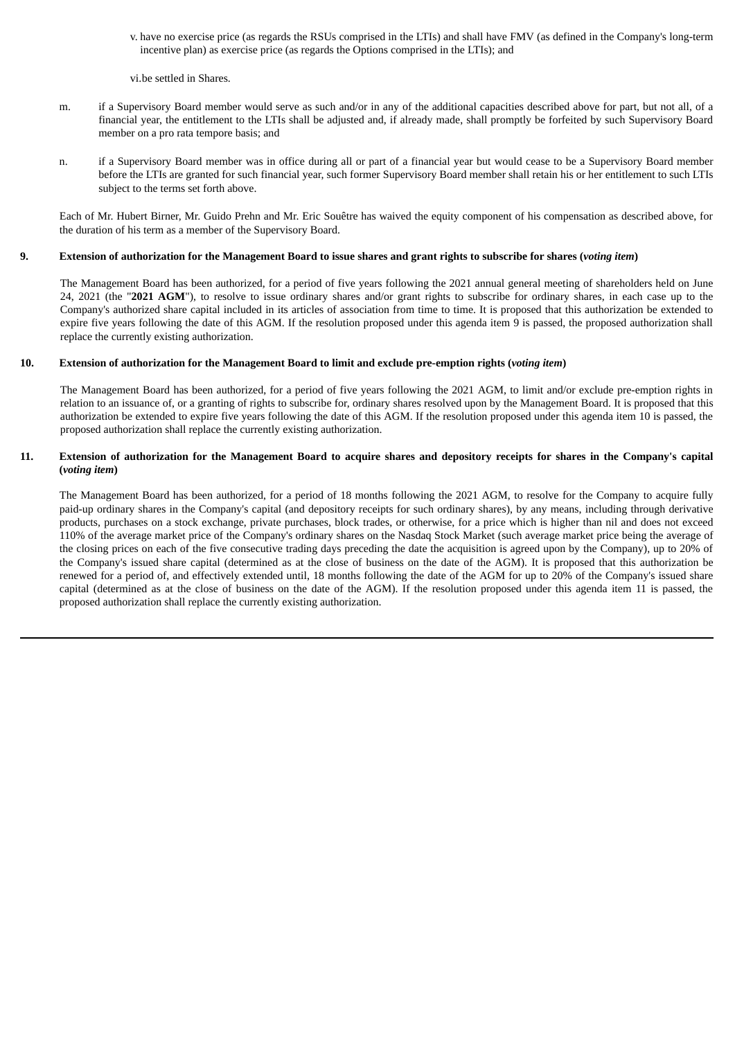- v. have no exercise price (as regards the RSUs comprised in the LTIs) and shall have FMV (as defined in the Company's long-term incentive plan) as exercise price (as regards the Options comprised in the LTIs); and
- vi.be settled in Shares.
- m. if a Supervisory Board member would serve as such and/or in any of the additional capacities described above for part, but not all, of a financial year, the entitlement to the LTIs shall be adjusted and, if already made, shall promptly be forfeited by such Supervisory Board member on a pro rata tempore basis; and
- n. if a Supervisory Board member was in office during all or part of a financial year but would cease to be a Supervisory Board member before the LTIs are granted for such financial year, such former Supervisory Board member shall retain his or her entitlement to such LTIs subject to the terms set forth above.

Each of Mr. Hubert Birner, Mr. Guido Prehn and Mr. Eric Souêtre has waived the equity component of his compensation as described above, for the duration of his term as a member of the Supervisory Board.

### 9. Extension of authorization for the Management Board to issue shares and grant rights to subscribe for shares (voting item)

The Management Board has been authorized, for a period of five years following the 2021 annual general meeting of shareholders held on June 24, 2021 (the "**2021 AGM**"), to resolve to issue ordinary shares and/or grant rights to subscribe for ordinary shares, in each case up to the Company's authorized share capital included in its articles of association from time to time. It is proposed that this authorization be extended to expire five years following the date of this AGM. If the resolution proposed under this agenda item 9 is passed, the proposed authorization shall replace the currently existing authorization.

### 10. Extension of authorization for the Management Board to limit and exclude pre-emption rights (voting item)

The Management Board has been authorized, for a period of five years following the 2021 AGM, to limit and/or exclude pre-emption rights in relation to an issuance of, or a granting of rights to subscribe for, ordinary shares resolved upon by the Management Board. It is proposed that this authorization be extended to expire five years following the date of this AGM. If the resolution proposed under this agenda item 10 is passed, the proposed authorization shall replace the currently existing authorization.

# 11. Extension of authorization for the Management Board to acquire shares and depository receipts for shares in the Company's capital **(***voting item***)**

The Management Board has been authorized, for a period of 18 months following the 2021 AGM, to resolve for the Company to acquire fully paid-up ordinary shares in the Company's capital (and depository receipts for such ordinary shares), by any means, including through derivative products, purchases on a stock exchange, private purchases, block trades, or otherwise, for a price which is higher than nil and does not exceed 110% of the average market price of the Company's ordinary shares on the Nasdaq Stock Market (such average market price being the average of the closing prices on each of the five consecutive trading days preceding the date the acquisition is agreed upon by the Company), up to 20% of the Company's issued share capital (determined as at the close of business on the date of the AGM). It is proposed that this authorization be renewed for a period of, and effectively extended until, 18 months following the date of the AGM for up to 20% of the Company's issued share capital (determined as at the close of business on the date of the AGM). If the resolution proposed under this agenda item 11 is passed, the proposed authorization shall replace the currently existing authorization.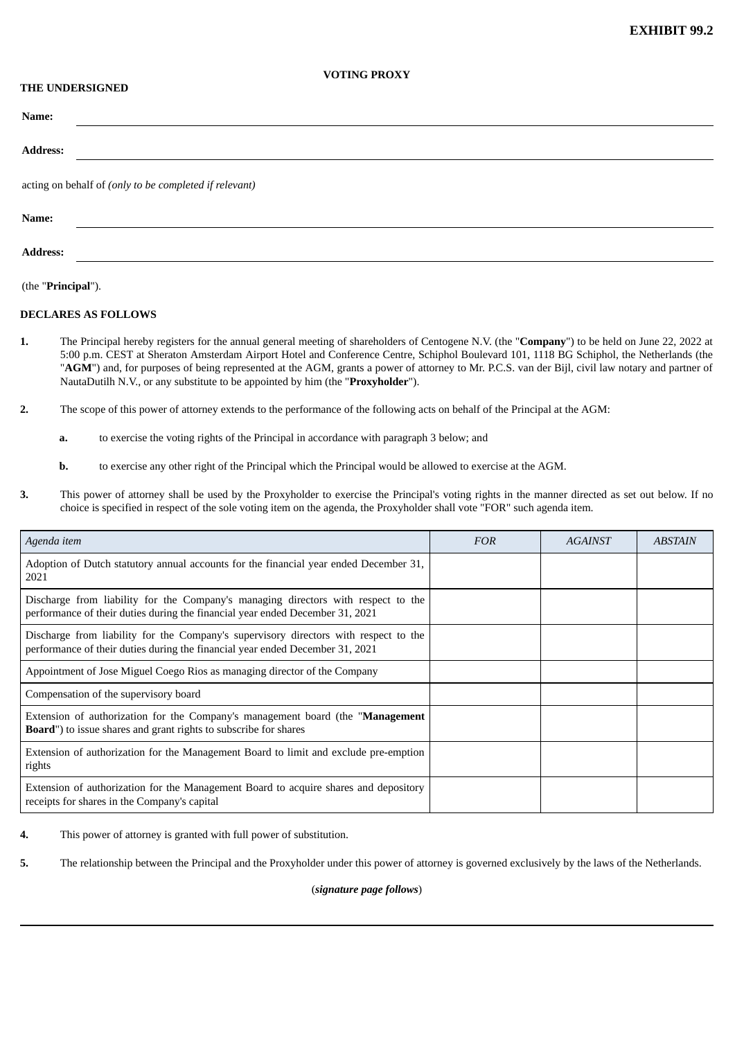### **VOTING PROXY**

# **THE UNDERSIGNED**

| Name:                                                  |
|--------------------------------------------------------|
| <b>Address:</b>                                        |
| acting on behalf of (only to be completed if relevant) |
| Name:                                                  |

**Address:**

(the "**Principal**").

### **DECLARES AS FOLLOWS**

- **1.** The Principal hereby registers for the annual general meeting of shareholders of Centogene N.V. (the "**Company**") to be held on June 22, 2022 at 5:00 p.m. CEST at Sheraton Amsterdam Airport Hotel and Conference Centre, Schiphol Boulevard 101, 1118 BG Schiphol, the Netherlands (the "**AGM**") and, for purposes of being represented at the AGM, grants a power of attorney to Mr. P.C.S. van der Bijl, civil law notary and partner of NautaDutilh N.V., or any substitute to be appointed by him (the "**Proxyholder**").
- **2.** The scope of this power of attorney extends to the performance of the following acts on behalf of the Principal at the AGM:
	- **a.** to exercise the voting rights of the Principal in accordance with paragraph 3 below; and
	- **b.** to exercise any other right of the Principal which the Principal would be allowed to exercise at the AGM.
- **3.** This power of attorney shall be used by the Proxyholder to exercise the Principal's voting rights in the manner directed as set out below. If no choice is specified in respect of the sole voting item on the agenda, the Proxyholder shall vote "FOR" such agenda item.

| Agenda item                                                                                                                                                           | <b>FOR</b> | AGAINST | <b>ABSTAIN</b> |
|-----------------------------------------------------------------------------------------------------------------------------------------------------------------------|------------|---------|----------------|
| Adoption of Dutch statutory annual accounts for the financial year ended December 31,<br>2021                                                                         |            |         |                |
| Discharge from liability for the Company's managing directors with respect to the<br>performance of their duties during the financial year ended December 31, 2021    |            |         |                |
| Discharge from liability for the Company's supervisory directors with respect to the<br>performance of their duties during the financial year ended December 31, 2021 |            |         |                |
| Appointment of Jose Miguel Coego Rios as managing director of the Company                                                                                             |            |         |                |
| Compensation of the supervisory board                                                                                                                                 |            |         |                |
| Extension of authorization for the Company's management board (the " <b>Management</b><br><b>Board")</b> to issue shares and grant rights to subscribe for shares     |            |         |                |
| Extension of authorization for the Management Board to limit and exclude pre-emption<br>rights                                                                        |            |         |                |
| Extension of authorization for the Management Board to acquire shares and depository<br>receipts for shares in the Company's capital                                  |            |         |                |

**4.** This power of attorney is granted with full power of substitution.

**5.** The relationship between the Principal and the Proxyholder under this power of attorney is governed exclusively by the laws of the Netherlands.

(*signature page follows*)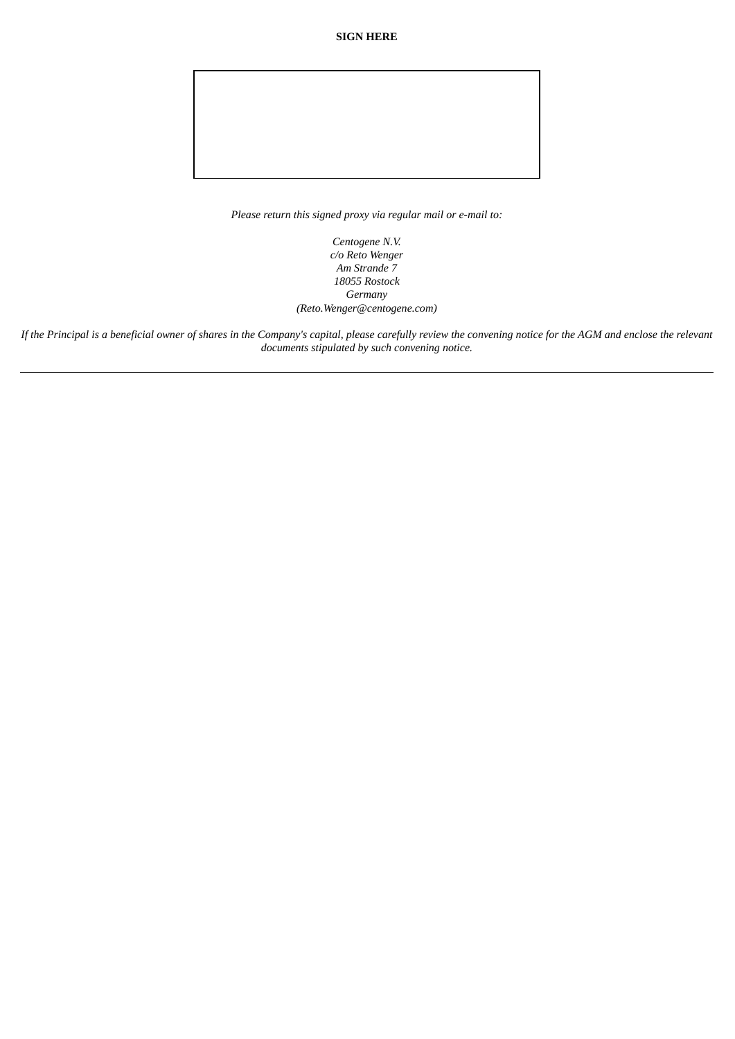**SIGN HERE**

*Please return this signed proxy via regular mail or e-mail to:*

*Centogene N.V. c/o Reto Wenger Am Strande 7 18055 Rostock Germany (Reto.Wenger@centogene.com)*

If the Principal is a beneficial owner of shares in the Company's capital, please carefully review the convening notice for the AGM and enclose the relevant *documents stipulated by such convening notice.*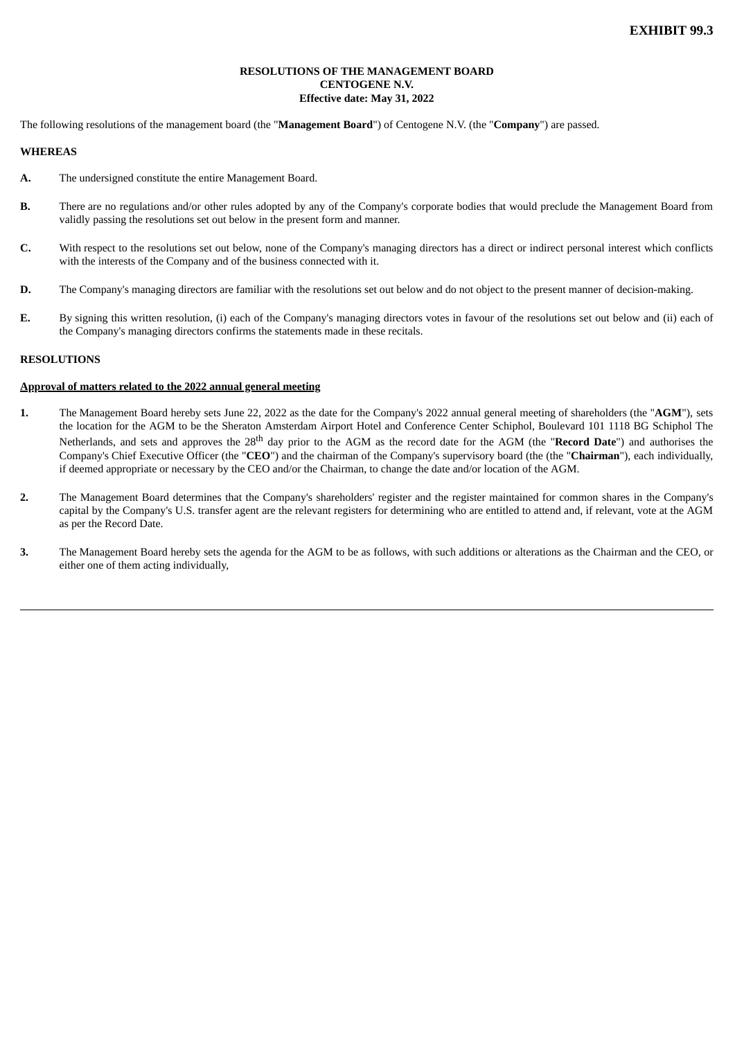# **RESOLUTIONS OF THE MANAGEMENT BOARD CENTOGENE N.V. Effective date: May 31, 2022**

The following resolutions of the management board (the "**Management Board**") of Centogene N.V. (the "**Company**") are passed.

### **WHEREAS**

- **A.** The undersigned constitute the entire Management Board.
- **B.** There are no regulations and/or other rules adopted by any of the Company's corporate bodies that would preclude the Management Board from validly passing the resolutions set out below in the present form and manner.
- **C.** With respect to the resolutions set out below, none of the Company's managing directors has a direct or indirect personal interest which conflicts with the interests of the Company and of the business connected with it.
- **D.** The Company's managing directors are familiar with the resolutions set out below and do not object to the present manner of decision-making.
- **E.** By signing this written resolution, (i) each of the Company's managing directors votes in favour of the resolutions set out below and (ii) each of the Company's managing directors confirms the statements made in these recitals.

# **RESOLUTIONS**

#### **Approval of matters related to the 2022 annual general meeting**

- **1.** The Management Board hereby sets June 22, 2022 as the date for the Company's 2022 annual general meeting of shareholders (the "**AGM**"), sets the location for the AGM to be the Sheraton Amsterdam Airport Hotel and Conference Center Schiphol, Boulevard 101 1118 BG Schiphol The Netherlands, and sets and approves the 28<sup>th</sup> day prior to the AGM as the record date for the AGM (the "**Record Date**") and authorises the Company's Chief Executive Officer (the "**CEO**") and the chairman of the Company's supervisory board (the (the "**Chairman**"), each individually, if deemed appropriate or necessary by the CEO and/or the Chairman, to change the date and/or location of the AGM.
- **2.** The Management Board determines that the Company's shareholders' register and the register maintained for common shares in the Company's capital by the Company's U.S. transfer agent are the relevant registers for determining who are entitled to attend and, if relevant, vote at the AGM as per the Record Date.
- **3.** The Management Board hereby sets the agenda for the AGM to be as follows, with such additions or alterations as the Chairman and the CEO, or either one of them acting individually,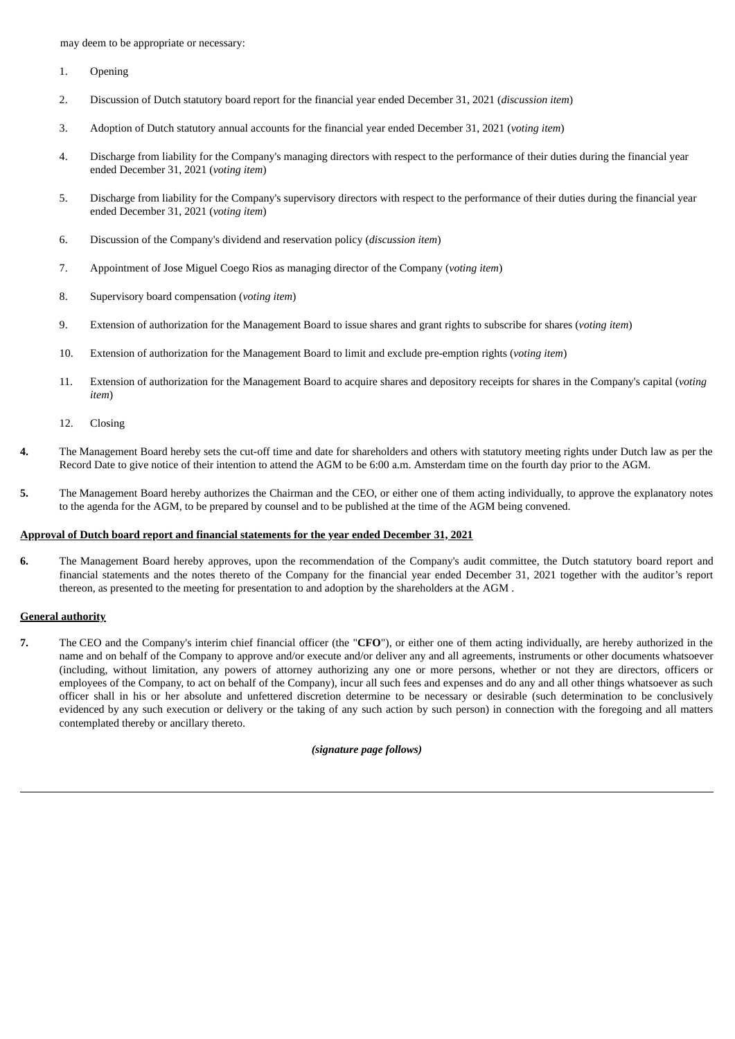may deem to be appropriate or necessary:

- 1. Opening
- 2. Discussion of Dutch statutory board report for the financial year ended December 31, 2021 (*discussion item*)
- 3. Adoption of Dutch statutory annual accounts for the financial year ended December 31, 2021 (*voting item*)
- 4. Discharge from liability for the Company's managing directors with respect to the performance of their duties during the financial year ended December 31, 2021 (*voting item*)
- 5. Discharge from liability for the Company's supervisory directors with respect to the performance of their duties during the financial year ended December 31, 2021 (*voting item*)
- 6. Discussion of the Company's dividend and reservation policy (*discussion item*)
- 7. Appointment of Jose Miguel Coego Rios as managing director of the Company (*voting item*)
- 8. Supervisory board compensation (*voting item*)
- 9. Extension of authorization for the Management Board to issue shares and grant rights to subscribe for shares (*voting item*)
- 10. Extension of authorization for the Management Board to limit and exclude pre-emption rights (*voting item*)
- 11. Extension of authorization for the Management Board to acquire shares and depository receipts for shares in the Company's capital (*voting item*)
- 12. Closing
- **4.** The Management Board hereby sets the cut-off time and date for shareholders and others with statutory meeting rights under Dutch law as per the Record Date to give notice of their intention to attend the AGM to be 6:00 a.m. Amsterdam time on the fourth day prior to the AGM.
- **5.** The Management Board hereby authorizes the Chairman and the CEO, or either one of them acting individually, to approve the explanatory notes to the agenda for the AGM, to be prepared by counsel and to be published at the time of the AGM being convened.

#### **Approval of Dutch board report and financial statements for the year ended December 31, 2021**

**6.** The Management Board hereby approves, upon the recommendation of the Company's audit committee, the Dutch statutory board report and financial statements and the notes thereto of the Company for the financial year ended December 31, 2021 together with the auditor's report thereon, as presented to the meeting for presentation to and adoption by the shareholders at the AGM .

# **General authority**

**7.** The CEO and the Company's interim chief financial officer (the "**CFO**"), or either one of them acting individually, are hereby authorized in the name and on behalf of the Company to approve and/or execute and/or deliver any and all agreements, instruments or other documents whatsoever (including, without limitation, any powers of attorney authorizing any one or more persons, whether or not they are directors, officers or employees of the Company, to act on behalf of the Company), incur all such fees and expenses and do any and all other things whatsoever as such officer shall in his or her absolute and unfettered discretion determine to be necessary or desirable (such determination to be conclusively evidenced by any such execution or delivery or the taking of any such action by such person) in connection with the foregoing and all matters contemplated thereby or ancillary thereto.

### *(signature page follows)*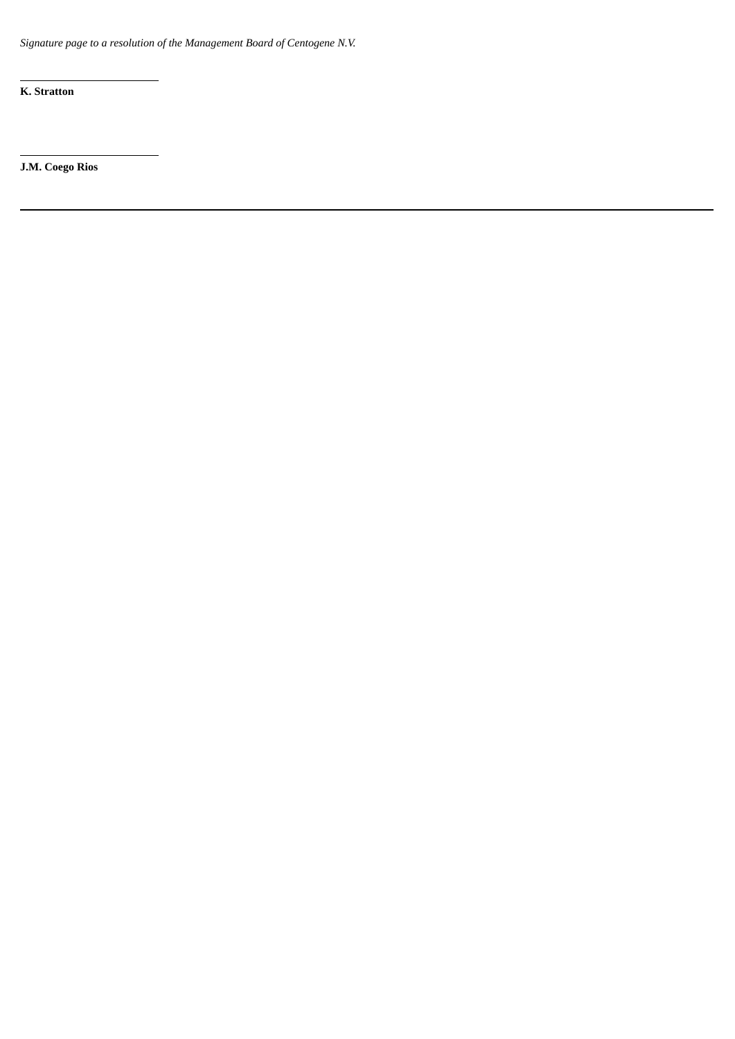*Signature page to a resolution of the Management Board of Centogene N.V.*

**K. Stratton**

**J.M. Coego Rios**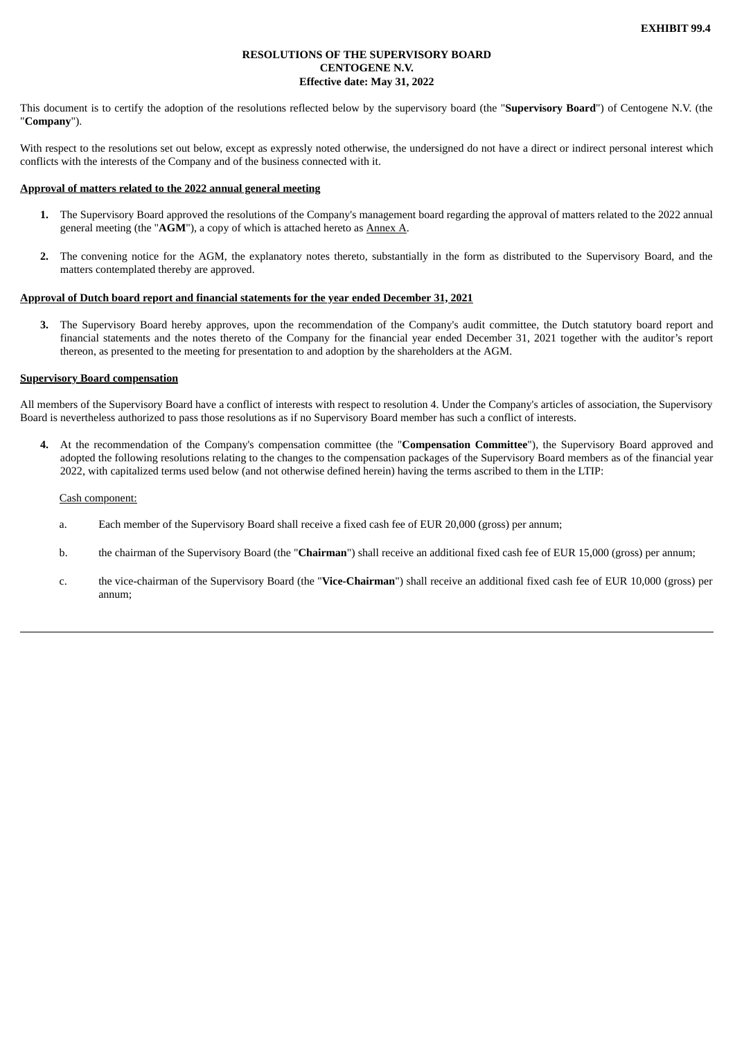# **RESOLUTIONS OF THE SUPERVISORY BOARD CENTOGENE N.V. Effective date: May 31, 2022**

This document is to certify the adoption of the resolutions reflected below by the supervisory board (the "**Supervisory Board**") of Centogene N.V. (the "**Company**").

With respect to the resolutions set out below, except as expressly noted otherwise, the undersigned do not have a direct or indirect personal interest which conflicts with the interests of the Company and of the business connected with it.

### **Approval of matters related to the 2022 annual general meeting**

- **1.** The Supervisory Board approved the resolutions of the Company's management board regarding the approval of matters related to the 2022 annual general meeting (the "**AGM**"), a copy of which is attached hereto as Annex A.
- **2.** The convening notice for the AGM, the explanatory notes thereto, substantially in the form as distributed to the Supervisory Board, and the matters contemplated thereby are approved.

### **Approval of Dutch board report and financial statements for the year ended December 31, 2021**

**3.** The Supervisory Board hereby approves, upon the recommendation of the Company's audit committee, the Dutch statutory board report and financial statements and the notes thereto of the Company for the financial year ended December 31, 2021 together with the auditor's report thereon, as presented to the meeting for presentation to and adoption by the shareholders at the AGM.

# **Supervisory Board compensation**

All members of the Supervisory Board have a conflict of interests with respect to resolution 4. Under the Company's articles of association, the Supervisory Board is nevertheless authorized to pass those resolutions as if no Supervisory Board member has such a conflict of interests.

**4.** At the recommendation of the Company's compensation committee (the "**Compensation Committee**"), the Supervisory Board approved and adopted the following resolutions relating to the changes to the compensation packages of the Supervisory Board members as of the financial year 2022, with capitalized terms used below (and not otherwise defined herein) having the terms ascribed to them in the LTIP:

#### Cash component:

- a. Each member of the Supervisory Board shall receive a fixed cash fee of EUR 20,000 (gross) per annum;
- b. the chairman of the Supervisory Board (the "**Chairman**") shall receive an additional fixed cash fee of EUR 15,000 (gross) per annum;
- c. the vice-chairman of the Supervisory Board (the "**Vice-Chairman**") shall receive an additional fixed cash fee of EUR 10,000 (gross) per annum;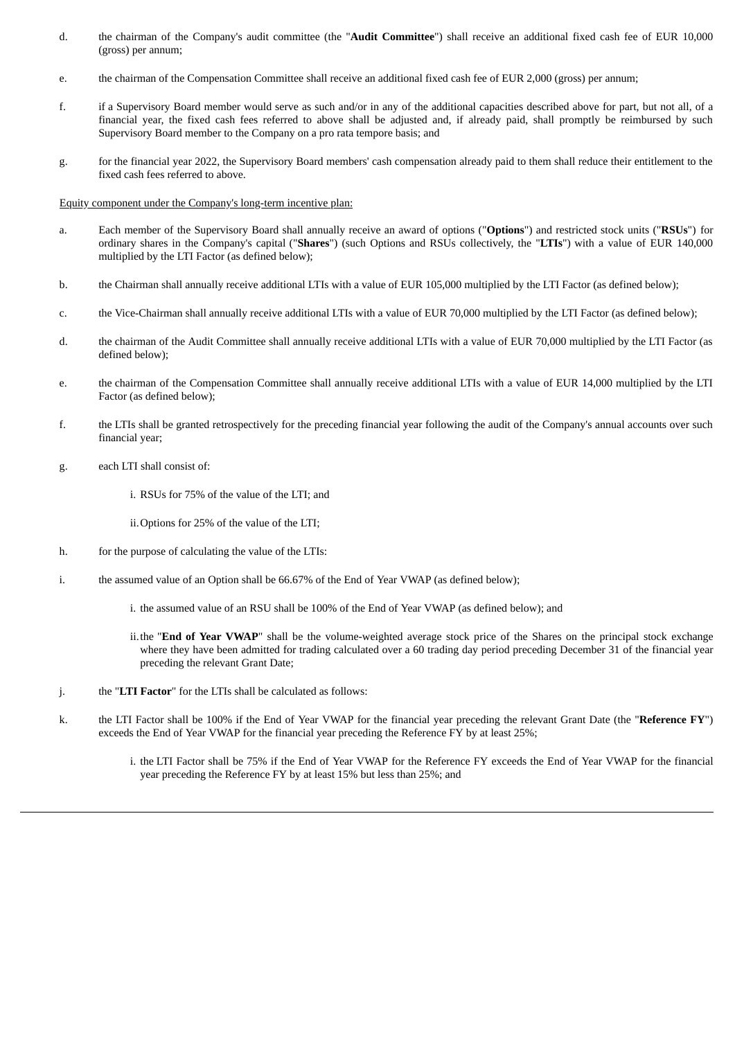- d. the chairman of the Company's audit committee (the "**Audit Committee**") shall receive an additional fixed cash fee of EUR 10,000 (gross) per annum;
- e. the chairman of the Compensation Committee shall receive an additional fixed cash fee of EUR 2,000 (gross) per annum;
- f. if a Supervisory Board member would serve as such and/or in any of the additional capacities described above for part, but not all, of a financial year, the fixed cash fees referred to above shall be adjusted and, if already paid, shall promptly be reimbursed by such Supervisory Board member to the Company on a pro rata tempore basis; and
- g. for the financial year 2022, the Supervisory Board members' cash compensation already paid to them shall reduce their entitlement to the fixed cash fees referred to above.

#### Equity component under the Company's long-term incentive plan:

- a. Each member of the Supervisory Board shall annually receive an award of options ("**Options**") and restricted stock units ("**RSUs**") for ordinary shares in the Company's capital ("**Shares**") (such Options and RSUs collectively, the "**LTIs**") with a value of EUR 140,000 multiplied by the LTI Factor (as defined below);
- b. the Chairman shall annually receive additional LTIs with a value of EUR 105,000 multiplied by the LTI Factor (as defined below);
- c. the Vice-Chairman shall annually receive additional LTIs with a value of EUR 70,000 multiplied by the LTI Factor (as defined below);
- d. the chairman of the Audit Committee shall annually receive additional LTIs with a value of EUR 70,000 multiplied by the LTI Factor (as defined below);
- e. the chairman of the Compensation Committee shall annually receive additional LTIs with a value of EUR 14,000 multiplied by the LTI Factor (as defined below);
- f. the LTIs shall be granted retrospectively for the preceding financial year following the audit of the Company's annual accounts over such financial year;
- g. each LTI shall consist of:
	- i. RSUs for 75% of the value of the LTI; and
	- ii.Options for 25% of the value of the LTI;
- h. for the purpose of calculating the value of the LTIs:
- i. the assumed value of an Option shall be 66.67% of the End of Year VWAP (as defined below);
	- i. the assumed value of an RSU shall be 100% of the End of Year VWAP (as defined below); and
	- ii.the "**End of Year VWAP**" shall be the volume-weighted average stock price of the Shares on the principal stock exchange where they have been admitted for trading calculated over a 60 trading day period preceding December 31 of the financial year preceding the relevant Grant Date;
- j. the "**LTI Factor**" for the LTIs shall be calculated as follows:
- k. the LTI Factor shall be 100% if the End of Year VWAP for the financial year preceding the relevant Grant Date (the "**Reference FY**") exceeds the End of Year VWAP for the financial year preceding the Reference FY by at least 25%;
	- i. the LTI Factor shall be 75% if the End of Year VWAP for the Reference FY exceeds the End of Year VWAP for the financial year preceding the Reference FY by at least 15% but less than 25%; and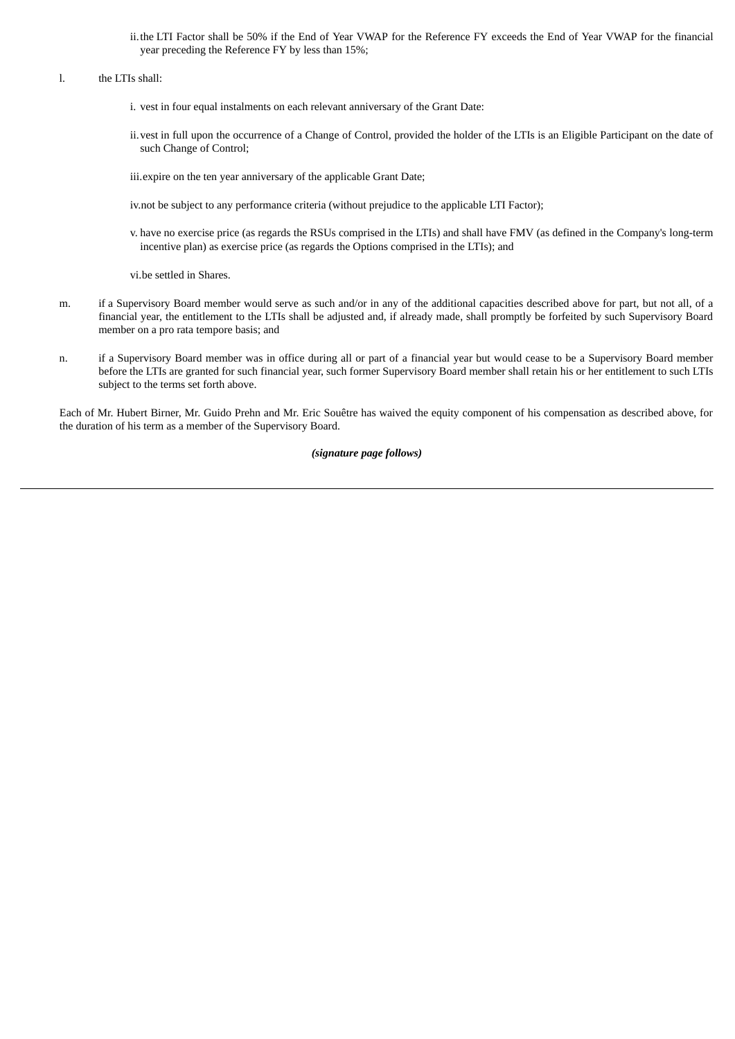ii.the LTI Factor shall be 50% if the End of Year VWAP for the Reference FY exceeds the End of Year VWAP for the financial year preceding the Reference FY by less than 15%;

# l. the LTIs shall:

- i. vest in four equal instalments on each relevant anniversary of the Grant Date:
- ii.vest in full upon the occurrence of a Change of Control, provided the holder of the LTIs is an Eligible Participant on the date of such Change of Control;

iii.expire on the ten year anniversary of the applicable Grant Date;

iv.not be subject to any performance criteria (without prejudice to the applicable LTI Factor);

v. have no exercise price (as regards the RSUs comprised in the LTIs) and shall have FMV (as defined in the Company's long-term incentive plan) as exercise price (as regards the Options comprised in the LTIs); and

vi.be settled in Shares.

- m. if a Supervisory Board member would serve as such and/or in any of the additional capacities described above for part, but not all, of a financial year, the entitlement to the LTIs shall be adjusted and, if already made, shall promptly be forfeited by such Supervisory Board member on a pro rata tempore basis; and
- n. if a Supervisory Board member was in office during all or part of a financial year but would cease to be a Supervisory Board member before the LTIs are granted for such financial year, such former Supervisory Board member shall retain his or her entitlement to such LTIs subject to the terms set forth above.

Each of Mr. Hubert Birner, Mr. Guido Prehn and Mr. Eric Souêtre has waived the equity component of his compensation as described above, for the duration of his term as a member of the Supervisory Board.

# *(signature page follows)*